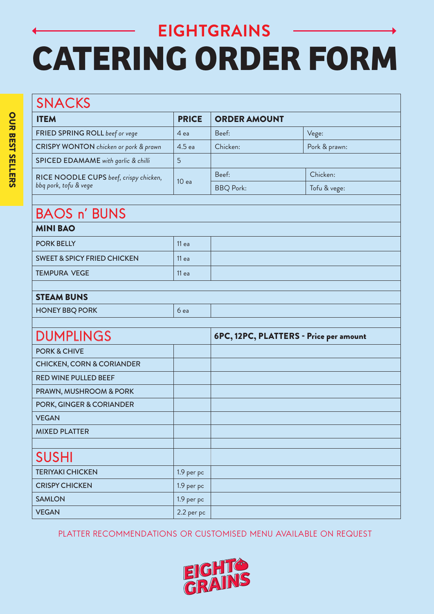#### SNACKS ITEM PRICE ORDER AMOUNT **FRIED SPRING ROLL** beef or vege  $\begin{vmatrix} 4 & e^{\frac{1}{2}} & e^{2x} \\ 4 & 4 & e^{\frac{1}{2}} \\ 4 & 4 & 4 \end{vmatrix}$  Beef: CRISPY WONTON *chicken or pork & prawn*  $\begin{array}{|l} 4.5 \text{ ea} \end{array}$  Chicken: Pork & prawn: SPICED EDAMAME with garlic & chilli 5 RICE NOODLE CUPS *beef, crispy chicken, bbq pork, tofu & vege*<br>bbq pork, tofu & vege Beef: Chicken: BBQ Pork: Tofu & vege: BAOS n' BUNS MINI BAO PORK BELLY 11 ea | 11 ea SWEET & SPICY FRIED CHICKEN 11 ea TEMPURA VEGE 11 ea STEAM BUNS HONEY BBQ PORK 6 each policy of the state of the state of the state of the state of the state of the state of the state of the state of the state of the state of the state of the state of the state of the state of the stat DUMPLINGS 6PC, 12PC, PLATTERS - Price per amount PORK & CHIVE CHICKEN, CORN & CORIANDER RED WINE PULLED BEEF PRAWN, MUSHROOM & PORK PORK, GINGER & CORIANDER VEGAN MIXED PLATTER SUSHI TERIYAKI CHICKEN 1.9 per pc CRISPY CHICKEN 1.9 per pc SAMLON 1.9 per pc VEGAN 2.2 per pc

PLATTER RECOMMENDATIONS OR CUSTOMISED MENU AVAILABLE ON REQUEST

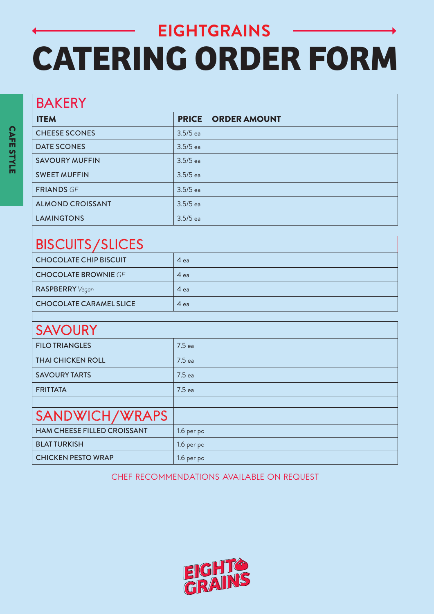### BISCUITS/SLICES

| _______<br>________            |      |  |
|--------------------------------|------|--|
| <b>CHOCOLATE CHIP BISCUIT</b>  | 4 ea |  |
| <b>CHOCOLATE BROWNIE GF</b>    | 4 ea |  |
| <b>RASPBERRY</b> Vegan         | 4 ea |  |
| <b>CHOCOLATE CARAMEL SLICE</b> | 4 ea |  |

#### **SAVOURY**

| <u>VAN V VIN I</u>                 |                   |  |
|------------------------------------|-------------------|--|
| <b>FILO TRIANGLES</b>              | 7.5 ea            |  |
| <b>THAI CHICKEN ROLL</b>           | 7.5 <sub>ea</sub> |  |
| <b>SAVOURY TARTS</b>               | 7.5 ea            |  |
| <b>FRITTATA</b>                    | 7.5 ea            |  |
|                                    |                   |  |
| SANDWICH/WRAPS                     |                   |  |
| <b>HAM CHEESE FILLED CROISSANT</b> | 1.6 per pc        |  |
| <b>BLAT TURKISH</b>                | 1.6 per pc        |  |
| <b>CHICKEN PESTO WRAP</b>          | 1.6 per pc        |  |

CHEF RECOMMENDATIONS AVAILABLE ON REQUEST

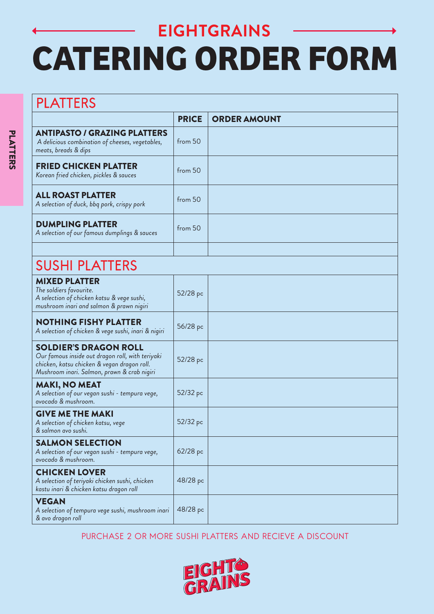| <b>PLATTERS</b>                                                                                                                                                                |              |                     |  |
|--------------------------------------------------------------------------------------------------------------------------------------------------------------------------------|--------------|---------------------|--|
|                                                                                                                                                                                | <b>PRICE</b> | <b>ORDER AMOUNT</b> |  |
| <b>ANTIPASTO / GRAZING PLATTERS</b><br>A delicious combination of cheeses, vegetables,<br>meats, breads & dips                                                                 | from 50      |                     |  |
| <b>FRIED CHICKEN PLATTER</b><br>Korean fried chicken, pickles & sauces                                                                                                         | from 50      |                     |  |
| <b>ALL ROAST PLATTER</b><br>A selection of duck, bbq pork, crispy pork                                                                                                         | from 50      |                     |  |
| <b>DUMPLING PLATTER</b><br>A selection of our famous dumplings & sauces                                                                                                        | from 50      |                     |  |
|                                                                                                                                                                                |              |                     |  |
| <b>SUSHI PLATTERS</b>                                                                                                                                                          |              |                     |  |
| <b>MIXED PLATTER</b><br>The soldiers favourite.<br>A selection of chicken katsu & vege sushi,<br>mushroom inari and salmon & prawn nigiri                                      | 52/28 pc     |                     |  |
| <b>NOTHING FISHY PLATTER</b><br>A selection of chicken & vege sushi, inari & nigiri                                                                                            | 56/28 pc     |                     |  |
| <b>SOLDIER'S DRAGON ROLL</b><br>Our famous inside out dragon roll, with teriyaki<br>chicken, katsu chicken & vegan dragon roll.<br>Mushroom inari. Salmon, prawn & crab nigiri | 52/28 pc     |                     |  |
| <b>MAKI, NO MEAT</b><br>A selection of our vegan sushi - tempura vege,<br>avocado & mushroom.                                                                                  | 52/32 pc     |                     |  |
| <b>GIVE ME THE MAKI</b><br>A selection of chicken katsu, vege<br>& salmon avo sushi.                                                                                           | 52/32 pc     |                     |  |
| <b>SALMON SELECTION</b><br>A selection of our vegan sushi - tempura vege,<br>avocado & mushroom.                                                                               | 62/28 pc     |                     |  |
| <b>CHICKEN LOVER</b><br>A selection of teriyaki chicken sushi, chicken<br>kastu inari & chicken katsu dragon roll                                                              | 48/28 pc     |                     |  |
| <b>VEGAN</b><br>A selection of tempura vege sushi, mushroom inari<br>& avo dragon roll                                                                                         | 48/28 pc     |                     |  |

PURCHASE 2 OR MORE SUSHI PLATTERS AND RECIEVE A DISCOUNT

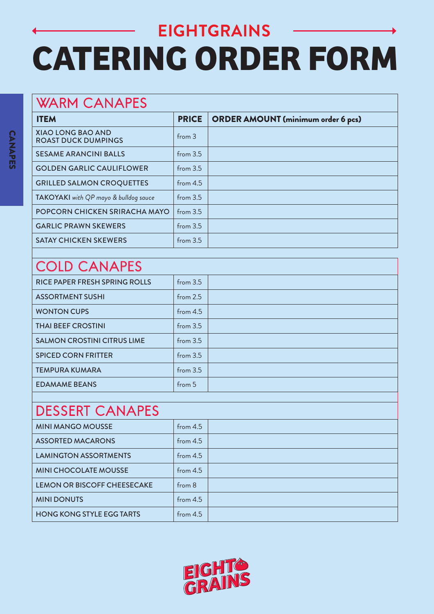### WARM CANAPES

| <b>ITEM</b>                                            | <b>PRICE</b> | <b>ORDER AMOUNT (minimum order 6 pcs)</b> |  |
|--------------------------------------------------------|--------------|-------------------------------------------|--|
| <b>XIAO LONG BAO AND</b><br><b>ROAST DUCK DUMPINGS</b> | from 3       |                                           |  |
| <b>SESAME ARANCINI BALLS</b>                           | from $3.5$   |                                           |  |
| <b>GOLDEN GARLIC CAULIFLOWER</b>                       | from 3.5     |                                           |  |
| <b>GRILLED SALMON CROQUETTES</b>                       | from $4.5$   |                                           |  |
| TAKOYAKI with QP mayo & bulldog sauce                  | from $3.5$   |                                           |  |
| POPCORN CHICKEN SRIRACHA MAYO                          | from $3.5$   |                                           |  |
| <b>GARLIC PRAWN SKEWERS</b>                            | from $3.5$   |                                           |  |
| <b>SATAY CHICKEN SKEWERS</b>                           | from $3.5$   |                                           |  |

### COLD CANAPES

| RICE PAPER FRESH SPRING ROLLS      | from $3.5$ |  |
|------------------------------------|------------|--|
| <b>ASSORTMENT SUSHI</b>            | from $2.5$ |  |
| <b>WONTON CUPS</b>                 | from $4.5$ |  |
| <b>THAI BEEF CROSTINI</b>          | from 3.5   |  |
| <b>SALMON CROSTINI CITRUS LIME</b> | from $3.5$ |  |
| <b>SPICED CORN FRITTER</b>         | from 3.5   |  |
| <b>TEMPURA KUMARA</b>              | from $3.5$ |  |
| <b>EDAMAME BEANS</b>               | from 5     |  |
|                                    |            |  |

### DESSERT CANAPES

| <b>MINI MANGO MOUSSE</b>           | from $4.5$ |  |
|------------------------------------|------------|--|
| <b>ASSORTED MACARONS</b>           | from $4.5$ |  |
| <b>LAMINGTON ASSORTMENTS</b>       | from $4.5$ |  |
| <b>MINI CHOCOLATE MOUSSE</b>       | from $4.5$ |  |
| <b>LEMON OR BISCOFF CHEESECAKE</b> | from 8     |  |
| <b>MINI DONUTS</b>                 | from $4.5$ |  |
| <b>HONG KONG STYLE EGG TARTS</b>   | from $4.5$ |  |

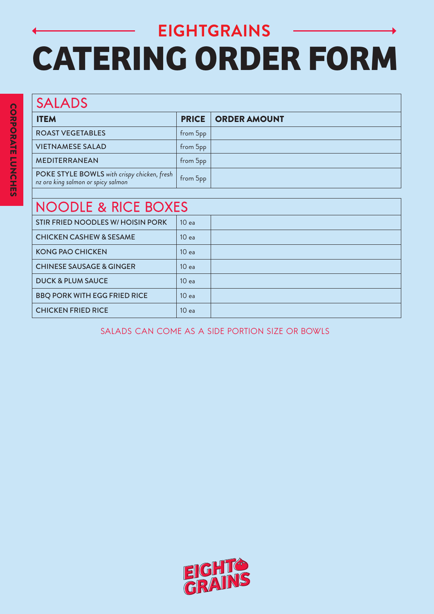# **EIGHTGRAINS CATERING ORDER FORM**

| <b>SALADS</b>                                                                     |              |                     |  |
|-----------------------------------------------------------------------------------|--------------|---------------------|--|
| <b>ITEM</b>                                                                       | <b>PRICE</b> | <b>ORDER AMOUNT</b> |  |
| <b>ROAST VEGETABLES</b>                                                           | from 5pp     |                     |  |
| <b>VIETNAMESE SALAD</b>                                                           | from 5pp     |                     |  |
| <b>MEDITERRANEAN</b>                                                              | from 5pp     |                     |  |
| POKE STYLE BOWLS with crispy chicken, fresh<br>nz ora king salmon or spicy salmon | from 5pp     |                     |  |
|                                                                                   |              |                     |  |

| <b>NOODLE &amp; RICE BOXES</b> |  |  |
|--------------------------------|--|--|
|--------------------------------|--|--|

| I TU U LE U ITUL DUMEU              |                  |  |
|-------------------------------------|------------------|--|
| STIR FRIED NOODLES W/ HOISIN PORK   | 10 <sub>ea</sub> |  |
| <b>CHICKEN CASHEW &amp; SESAME</b>  | 10 <sub>ea</sub> |  |
| <b>KONG PAO CHICKEN</b>             | 10 <sub>ea</sub> |  |
| <b>CHINESE SAUSAGE &amp; GINGER</b> | 10 <sub>ea</sub> |  |
| <b>DUCK &amp; PLUM SAUCE</b>        | 10 <sub>ea</sub> |  |
| <b>BBQ PORK WITH EGG FRIED RICE</b> | 10 <sub>ea</sub> |  |
| <b>CHICKEN FRIED RICE</b>           | 10 <sub>ea</sub> |  |

SALADS CAN COME AS A SIDE PORTION SIZE OR BOWLS